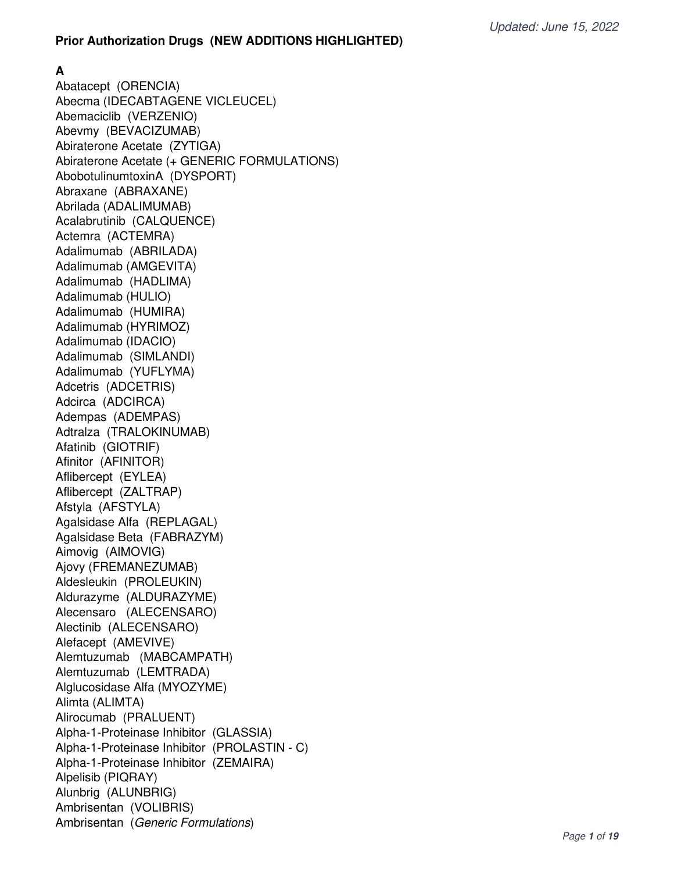#### **Prior Authorization Drugs (NEW ADDITIONS HIGHLIGHTED)**

**A**

Abatacept (ORENCIA) Abecma (IDECABTAGENE VICLEUCEL) Abemaciclib (VERZENIO) Abevmy (BEVACIZUMAB) Abiraterone Acetate (ZYTIGA) Abiraterone Acetate (+ GENERIC FORMULATIONS) AbobotulinumtoxinA (DYSPORT) Abraxane (ABRAXANE) Abrilada (ADALIMUMAB) Acalabrutinib (CALQUENCE) Actemra (ACTEMRA) Adalimumab (ABRILADA) Adalimumab (AMGEVITA) Adalimumab (HADLIMA) Adalimumab (HULIO) Adalimumab (HUMIRA) Adalimumab (HYRIMOZ) Adalimumab (IDACIO) Adalimumab (SIMLANDI) Adalimumab (YUFLYMA) Adcetris (ADCETRIS) Adcirca (ADCIRCA) Adempas (ADEMPAS) Adtralza (TRALOKINUMAB) Afatinib (GIOTRIF) Afinitor (AFINITOR) Aflibercept (EYLEA) Aflibercept (ZALTRAP) Afstyla (AFSTYLA) Agalsidase Alfa (REPLAGAL) Agalsidase Beta (FABRAZYM) Aimovig (AIMOVIG) Ajovy (FREMANEZUMAB) Aldesleukin (PROLEUKIN) Aldurazyme (ALDURAZYME) Alecensaro (ALECENSARO) Alectinib (ALECENSARO) Alefacept (AMEVIVE) Alemtuzumab (MABCAMPATH) Alemtuzumab (LEMTRADA) Alglucosidase Alfa (MYOZYME) Alimta (ALIMTA) Alirocumab (PRALUENT) Alpha-1-Proteinase Inhibitor (GLASSIA) Alpha-1-Proteinase Inhibitor (PROLASTIN - C) Alpha-1-Proteinase Inhibitor (ZEMAIRA) Alpelisib (PIQRAY) Alunbrig (ALUNBRIG) Ambrisentan (VOLIBRIS) Ambrisentan (Generic Formulations)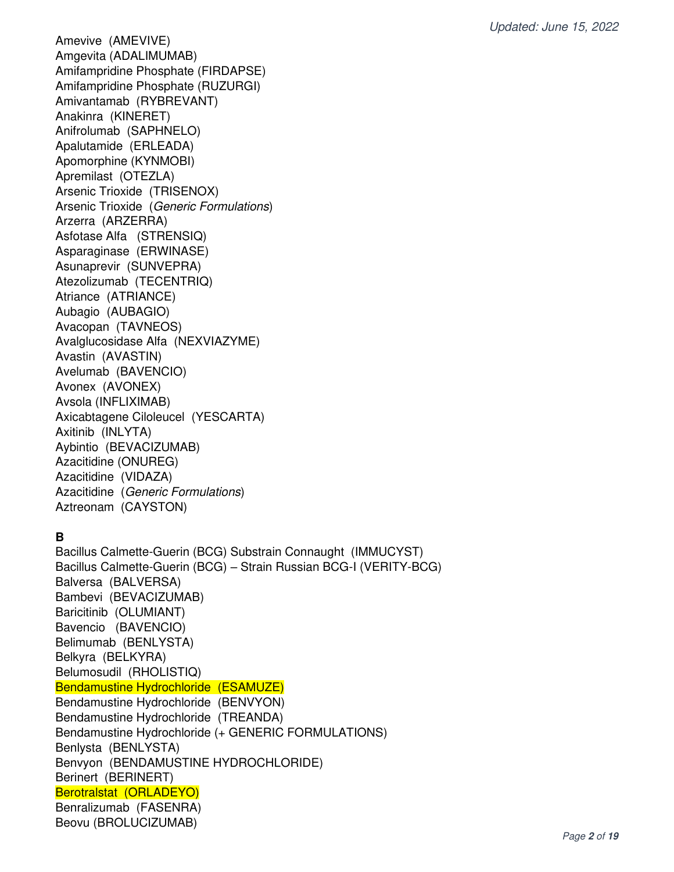Amevive (AMEVIVE) Amgevita (ADALIMUMAB) Amifampridine Phosphate (FIRDAPSE) Amifampridine Phosphate (RUZURGI) Amivantamab (RYBREVANT) Anakinra (KINERET) Anifrolumab (SAPHNELO) Apalutamide (ERLEADA) Apomorphine (KYNMOBI) Apremilast (OTEZLA) Arsenic Trioxide (TRISENOX) Arsenic Trioxide (Generic Formulations) Arzerra (ARZERRA) Asfotase Alfa (STRENSIQ) Asparaginase (ERWINASE) Asunaprevir (SUNVEPRA) Atezolizumab (TECENTRIQ) Atriance (ATRIANCE) Aubagio (AUBAGIO) Avacopan (TAVNEOS) Avalglucosidase Alfa (NEXVIAZYME) Avastin (AVASTIN) Avelumab (BAVENCIO) Avonex (AVONEX) Avsola (INFLIXIMAB) Axicabtagene Ciloleucel (YESCARTA) Axitinib (INLYTA) Aybintio (BEVACIZUMAB) Azacitidine (ONUREG) Azacitidine (VIDAZA) Azacitidine (Generic Formulations) Aztreonam (CAYSTON)

# **B**

Bacillus Calmette-Guerin (BCG) Substrain Connaught (IMMUCYST) Bacillus Calmette-Guerin (BCG) – Strain Russian BCG-I (VERITY-BCG) Balversa (BALVERSA) Bambevi (BEVACIZUMAB) Baricitinib (OLUMIANT) Bavencio (BAVENCIO) Belimumab (BENLYSTA) Belkyra (BELKYRA) Belumosudil (RHOLISTIQ) Bendamustine Hydrochloride (ESAMUZE) Bendamustine Hydrochloride (BENVYON) Bendamustine Hydrochloride (TREANDA) Bendamustine Hydrochloride (+ GENERIC FORMULATIONS) Benlysta (BENLYSTA) Benvyon (BENDAMUSTINE HYDROCHLORIDE) Berinert (BERINERT) Berotralstat (ORLADEYO) Benralizumab (FASENRA) Beovu (BROLUCIZUMAB)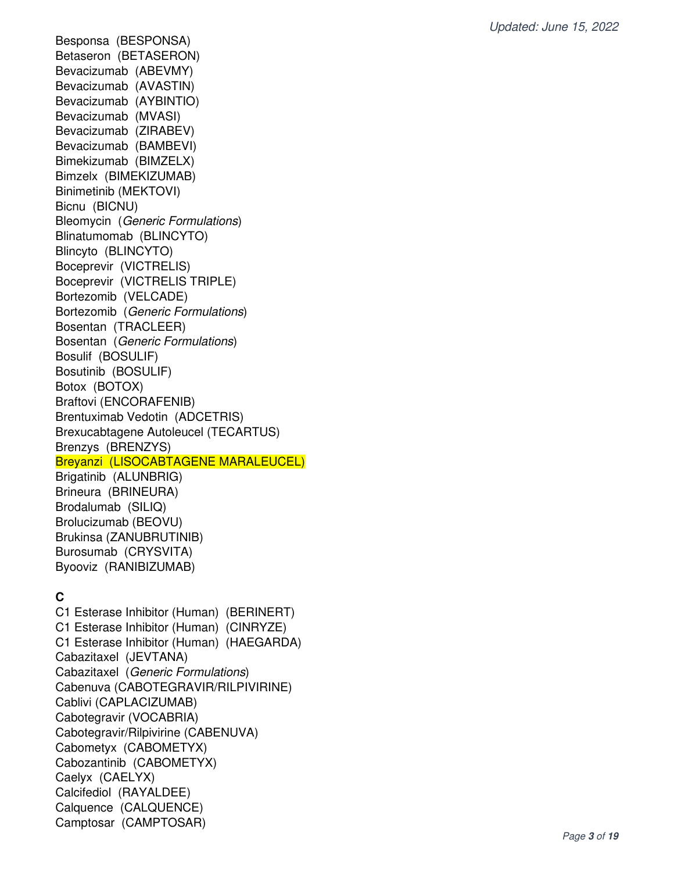Besponsa (BESPONSA) Betaseron (BETASERON) Bevacizumab (ABEVMY) Bevacizumab (AVASTIN) Bevacizumab (AYBINTIO) Bevacizumab (MVASI) Bevacizumab (ZIRABEV) Bevacizumab (BAMBEVI) Bimekizumab (BIMZELX) Bimzelx (BIMEKIZUMAB) Binimetinib (MEKTOVI) Bicnu (BICNU) Bleomycin (Generic Formulations) Blinatumomab (BLINCYTO) Blincyto (BLINCYTO) Boceprevir (VICTRELIS) Boceprevir (VICTRELIS TRIPLE) Bortezomib (VELCADE) Bortezomib (Generic Formulations) Bosentan (TRACLEER) Bosentan (Generic Formulations) Bosulif (BOSULIF) Bosutinib (BOSULIF) Botox (BOTOX) Braftovi (ENCORAFENIB) Brentuximab Vedotin (ADCETRIS) Brexucabtagene Autoleucel (TECARTUS) Brenzys (BRENZYS) Breyanzi (LISOCABTAGENE MARALEUCEL) Brigatinib (ALUNBRIG) Brineura (BRINEURA) Brodalumab (SILIQ) Brolucizumab (BEOVU) Brukinsa (ZANUBRUTINIB) Burosumab (CRYSVITA)

# **C**

Byooviz (RANIBIZUMAB)

C1 Esterase Inhibitor (Human) (BERINERT) C1 Esterase Inhibitor (Human) (CINRYZE) C1 Esterase Inhibitor (Human) (HAEGARDA) Cabazitaxel (JEVTANA) Cabazitaxel (Generic Formulations) Cabenuva (CABOTEGRAVIR/RILPIVIRINE) Cablivi (CAPLACIZUMAB) Cabotegravir (VOCABRIA) Cabotegravir/Rilpivirine (CABENUVA) Cabometyx (CABOMETYX) Cabozantinib (CABOMETYX) Caelyx (CAELYX) Calcifediol (RAYALDEE) Calquence (CALQUENCE) Camptosar (CAMPTOSAR)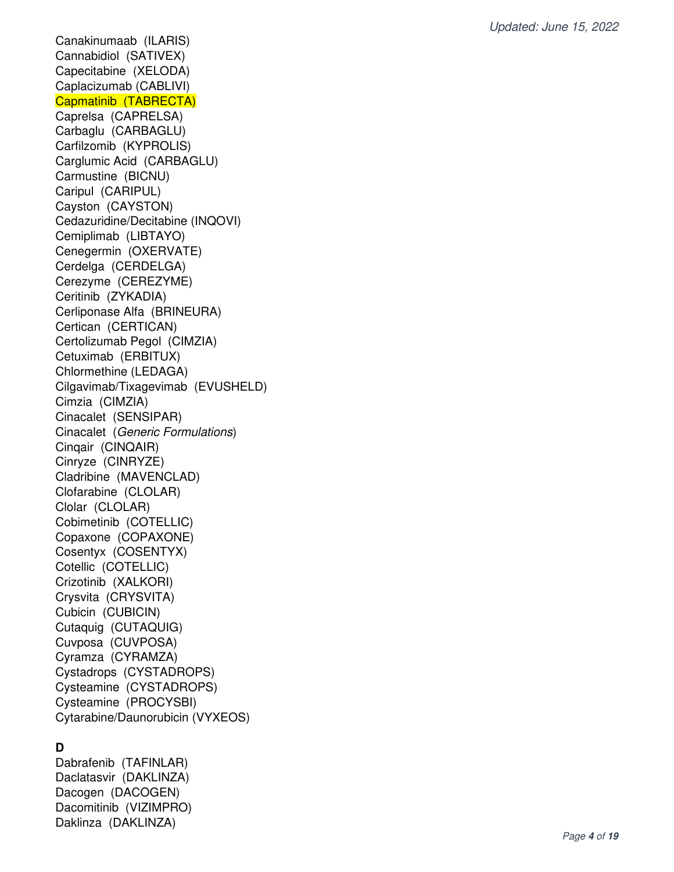Canakinumaab (ILARIS) Cannabidiol (SATIVEX) Capecitabine (XELODA) Caplacizumab (CABLIVI) Capmatinib (TABRECTA) Caprelsa (CAPRELSA) Carbaglu (CARBAGLU) Carfilzomib (KYPROLIS) Carglumic Acid (CARBAGLU) Carmustine (BICNU) Caripul (CARIPUL) Cayston (CAYSTON) Cedazuridine/Decitabine (INQOVI) Cemiplimab (LIBTAYO) Cenegermin (OXERVATE) Cerdelga (CERDELGA) Cerezyme (CEREZYME) Ceritinib (ZYKADIA) Cerliponase Alfa (BRINEURA) Certican (CERTICAN) Certolizumab Pegol (CIMZIA) Cetuximab (ERBITUX) Chlormethine (LEDAGA) Cilgavimab/Tixagevimab (EVUSHELD) Cimzia (CIMZIA) Cinacalet (SENSIPAR) Cinacalet (Generic Formulations) Cinqair (CINQAIR) Cinryze (CINRYZE) Cladribine (MAVENCLAD) Clofarabine (CLOLAR) Clolar (CLOLAR) Cobimetinib (COTELLIC) Copaxone (COPAXONE) Cosentyx (COSENTYX) Cotellic (COTELLIC) Crizotinib (XALKORI) Crysvita (CRYSVITA) Cubicin (CUBICIN) Cutaquig (CUTAQUIG) Cuvposa (CUVPOSA) Cyramza (CYRAMZA) Cystadrops (CYSTADROPS) Cysteamine (CYSTADROPS) Cysteamine (PROCYSBI) Cytarabine/Daunorubicin (VYXEOS)

#### **D**

Dabrafenib (TAFINLAR) Daclatasvir (DAKLINZA) Dacogen (DACOGEN) Dacomitinib (VIZIMPRO) Daklinza (DAKLINZA)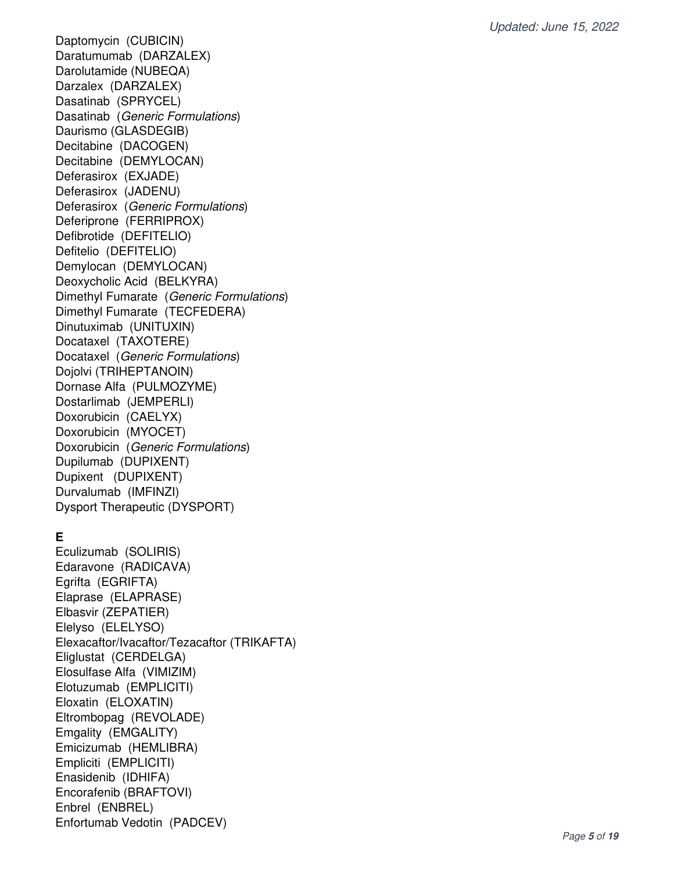Daptomycin (CUBICIN) Daratumumab (DARZALEX) Darolutamide (NUBEQA) Darzalex (DARZALEX) Dasatinab (SPRYCEL) Dasatinab (Generic Formulations) Daurismo (GLASDEGIB) Decitabine (DACOGEN) Decitabine (DEMYLOCAN) Deferasirox (EXJADE) Deferasirox (JADENU) Deferasirox (Generic Formulations) Deferiprone (FERRIPROX) Defibrotide (DEFITELIO) Defitelio (DEFITELIO) Demylocan (DEMYLOCAN) Deoxycholic Acid (BELKYRA) Dimethyl Fumarate (Generic Formulations) Dimethyl Fumarate (TECFEDERA) Dinutuximab (UNITUXIN) Docataxel (TAXOTERE) Docataxel (Generic Formulations) Dojolvi (TRIHEPTANOIN) Dornase Alfa (PULMOZYME) Dostarlimab (JEMPERLI) Doxorubicin (CAELYX) Doxorubicin (MYOCET) Doxorubicin (Generic Formulations) Dupilumab (DUPIXENT) Dupixent (DUPIXENT) Durvalumab (IMFINZI) Dysport Therapeutic (DYSPORT)

### **E**

Eculizumab (SOLIRIS) Edaravone (RADICAVA) Egrifta (EGRIFTA) Elaprase (ELAPRASE) Elbasvir (ZEPATIER) Elelyso (ELELYSO) Elexacaftor/Ivacaftor/Tezacaftor (TRIKAFTA) Eliglustat (CERDELGA) Elosulfase Alfa (VIMIZIM) Elotuzumab (EMPLICITI) Eloxatin (ELOXATIN) Eltrombopag (REVOLADE) Emgality (EMGALITY) Emicizumab (HEMLIBRA) Empliciti (EMPLICITI) Enasidenib (IDHIFA) Encorafenib (BRAFTOVI) Enbrel (ENBREL) Enfortumab Vedotin (PADCEV)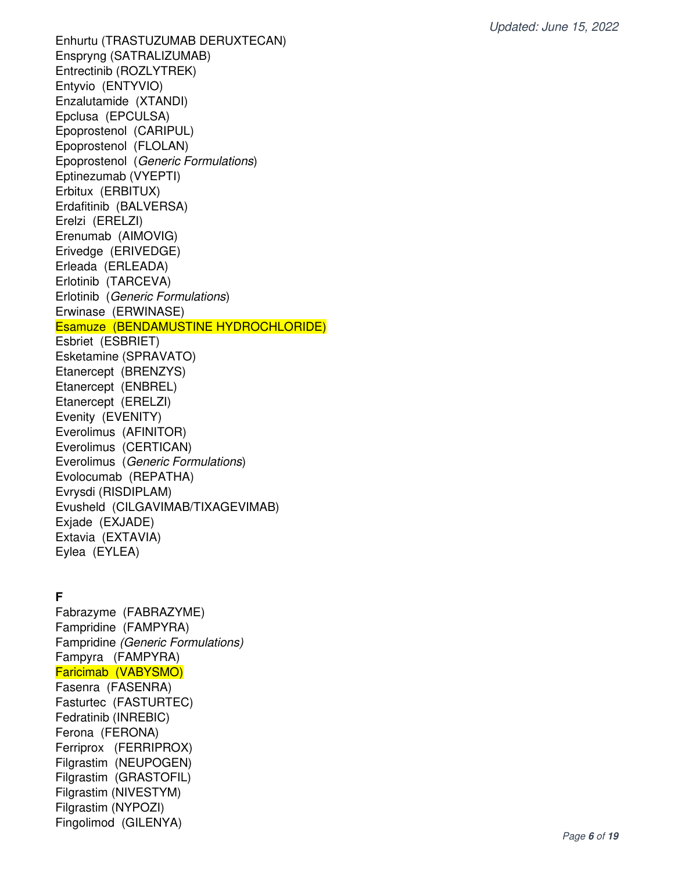Enhurtu (TRASTUZUMAB DERUXTECAN) Enspryng (SATRALIZUMAB) Entrectinib (ROZLYTREK) Entyvio (ENTYVIO) Enzalutamide (XTANDI) Epclusa (EPCULSA) Epoprostenol (CARIPUL) Epoprostenol (FLOLAN) Epoprostenol (Generic Formulations) Eptinezumab (VYEPTI) Erbitux (ERBITUX) Erdafitinib (BALVERSA) Erelzi (ERELZI) Erenumab (AIMOVIG) Erivedge (ERIVEDGE) Erleada (ERLEADA) Erlotinib (TARCEVA) Erlotinib (Generic Formulations) Erwinase (ERWINASE) Esamuze (BENDAMUSTINE HYDROCHLORIDE) Esbriet (ESBRIET) Esketamine (SPRAVATO) Etanercept (BRENZYS) Etanercept (ENBREL) Etanercept (ERELZI) Evenity (EVENITY) Everolimus (AFINITOR) Everolimus (CERTICAN) Everolimus (Generic Formulations) Evolocumab (REPATHA) Evrysdi (RISDIPLAM) Evusheld (CILGAVIMAB/TIXAGEVIMAB) Exjade (EXJADE) Extavia (EXTAVIA) Eylea (EYLEA)

### **F**

Fabrazyme (FABRAZYME) Fampridine (FAMPYRA) Fampridine (Generic Formulations) Fampyra (FAMPYRA) Faricimab (VABYSMO) Fasenra (FASENRA) Fasturtec (FASTURTEC) Fedratinib (INREBIC) Ferona (FERONA) Ferriprox (FERRIPROX) Filgrastim (NEUPOGEN) Filgrastim (GRASTOFIL) Filgrastim (NIVESTYM) Filgrastim (NYPOZI) Fingolimod (GILENYA)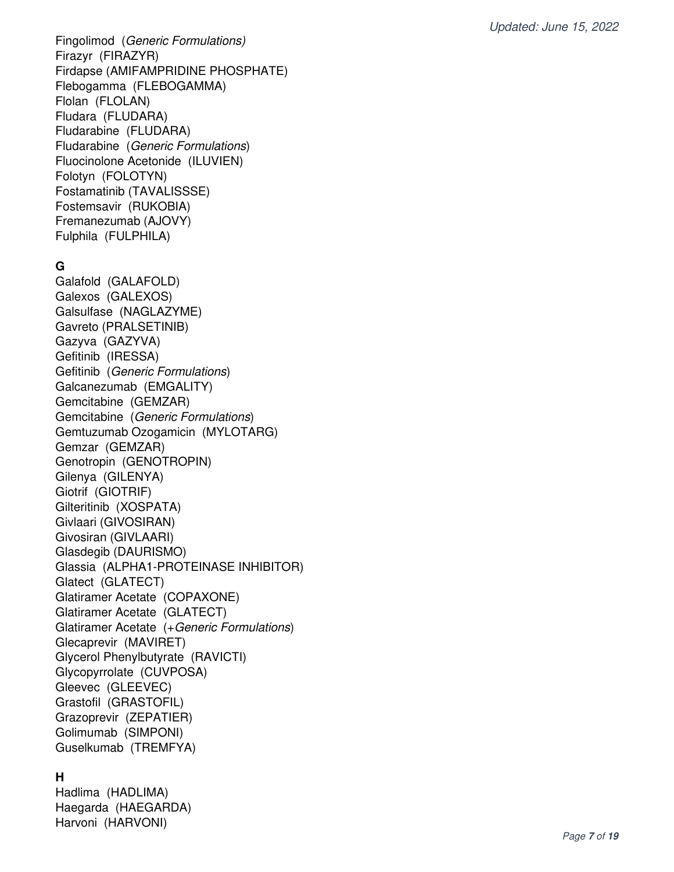Fingolimod (Generic Formulations) Firazyr (FIRAZYR) Firdapse (AMIFAMPRIDINE PHOSPHATE) Flebogamma (FLEBOGAMMA) Flolan (FLOLAN) Fludara (FLUDARA) Fludarabine (FLUDARA) Fludarabine (Generic Formulations) Fluocinolone Acetonide (ILUVIEN) Folotyn (FOLOTYN) Fostamatinib (TAVALISSSE) Fostemsavir (RUKOBIA) Fremanezumab (AJOVY) Fulphila (FULPHILA)

# **G**

Galafold (GALAFOLD) Galexos (GALEXOS) Galsulfase (NAGLAZYME) Gavreto (PRALSETINIB) Gazyva (GAZYVA) Gefitinib (IRESSA) Gefitinib (Generic Formulations) Galcanezumab (EMGALITY) Gemcitabine (GEMZAR) Gemcitabine (Generic Formulations) Gemtuzumab Ozogamicin (MYLOTARG) Gemzar (GEMZAR) Genotropin (GENOTROPIN) Gilenya (GILENYA) Giotrif (GIOTRIF) Gilteritinib (XOSPATA) Givlaari (GIVOSIRAN) Givosiran (GIVLAARI) Glasdegib (DAURISMO) Glassia (ALPHA1-PROTEINASE INHIBITOR) Glatect (GLATECT) Glatiramer Acetate (COPAXONE) Glatiramer Acetate (GLATECT) Glatiramer Acetate (+Generic Formulations) Glecaprevir (MAVIRET) Glycerol Phenylbutyrate (RAVICTI) Glycopyrrolate (CUVPOSA) Gleevec (GLEEVEC) Grastofil (GRASTOFIL) Grazoprevir (ZEPATIER) Golimumab (SIMPONI) Guselkumab (TREMFYA)

### **H**

Hadlima (HADLIMA) Haegarda (HAEGARDA) Harvoni (HARVONI)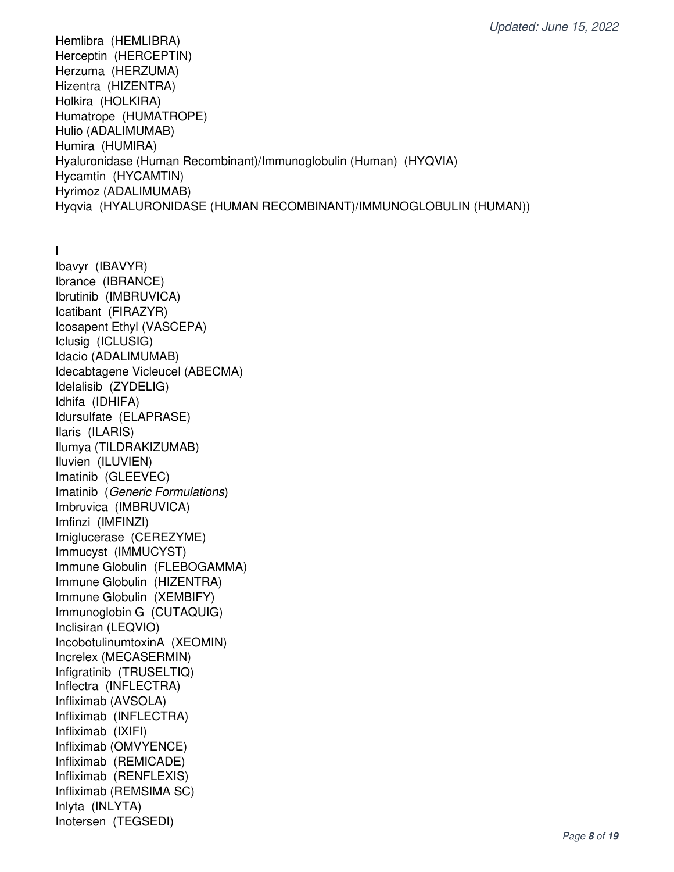Hemlibra (HEMLIBRA) Herceptin (HERCEPTIN) Herzuma (HERZUMA) Hizentra (HIZENTRA) Holkira (HOLKIRA) Humatrope (HUMATROPE) Hulio (ADALIMUMAB) Humira (HUMIRA) Hyaluronidase (Human Recombinant)/Immunoglobulin (Human) (HYQVIA) Hycamtin (HYCAMTIN) Hyrimoz (ADALIMUMAB) Hyqvia (HYALURONIDASE (HUMAN RECOMBINANT)/IMMUNOGLOBULIN (HUMAN))

**I** 

Ibavyr (IBAVYR) Ibrance (IBRANCE) Ibrutinib (IMBRUVICA) Icatibant (FIRAZYR) Icosapent Ethyl (VASCEPA) Iclusig (ICLUSIG) Idacio (ADALIMUMAB) Idecabtagene Vicleucel (ABECMA) Idelalisib (ZYDELIG) Idhifa (IDHIFA) Idursulfate (ELAPRASE) Ilaris (ILARIS) Ilumya (TILDRAKIZUMAB) Iluvien (ILUVIEN) Imatinib (GLEEVEC) Imatinib (Generic Formulations) Imbruvica (IMBRUVICA) Imfinzi (IMFINZI) Imiglucerase (CEREZYME) Immucyst (IMMUCYST) Immune Globulin (FLEBOGAMMA) Immune Globulin (HIZENTRA) Immune Globulin (XEMBIFY) Immunoglobin G (CUTAQUIG) Inclisiran (LEQVIO) IncobotulinumtoxinA (XEOMIN) Increlex (MECASERMIN) Infigratinib (TRUSELTIQ) Inflectra (INFLECTRA) Infliximab (AVSOLA) Infliximab (INFLECTRA) Infliximab (IXIFI) Infliximab (OMVYENCE) Infliximab (REMICADE) Infliximab (RENFLEXIS) Infliximab (REMSIMA SC) Inlyta (INLYTA) Inotersen (TEGSEDI)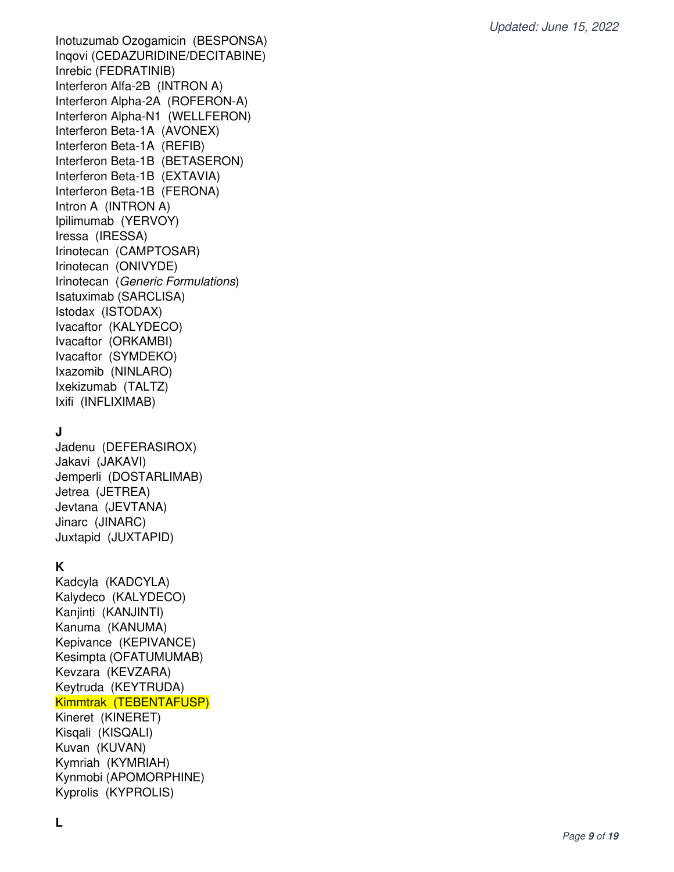Inotuzumab Ozogamicin (BESPONSA) Inqovi (CEDAZURIDINE/DECITABINE) Inrebic (FEDRATINIB) Interferon Alfa-2B (INTRON A) Interferon Alpha-2A (ROFERON-A) Interferon Alpha-N1 (WELLFERON) Interferon Beta-1A (AVONEX) Interferon Beta-1A (REFIB) Interferon Beta-1B (BETASERON) Interferon Beta-1B (EXTAVIA) Interferon Beta-1B (FERONA) Intron A (INTRON A) Ipilimumab (YERVOY) Iressa (IRESSA) Irinotecan (CAMPTOSAR) Irinotecan (ONIVYDE) Irinotecan (Generic Formulations) Isatuximab (SARCLISA) Istodax (ISTODAX) Ivacaftor (KALYDECO) Ivacaftor (ORKAMBI) Ivacaftor (SYMDEKO) Ixazomib (NINLARO) Ixekizumab (TALTZ) Ixifi (INFLIXIMAB)

# **J**

Jadenu (DEFERASIROX) Jakavi (JAKAVI) Jemperli (DOSTARLIMAB) Jetrea (JETREA) Jevtana (JEVTANA) Jinarc (JINARC) Juxtapid (JUXTAPID)

### **K**

Kadcyla (KADCYLA) Kalydeco (KALYDECO) Kanjinti (KANJINTI) Kanuma (KANUMA) Kepivance (KEPIVANCE) Kesimpta (OFATUMUMAB) Kevzara (KEVZARA) Keytruda (KEYTRUDA) Kimmtrak (TEBENTAFUSP) Kineret (KINERET) Kisqali (KISQALI) Kuvan (KUVAN) Kymriah (KYMRIAH) Kynmobi (APOMORPHINE) Kyprolis (KYPROLIS)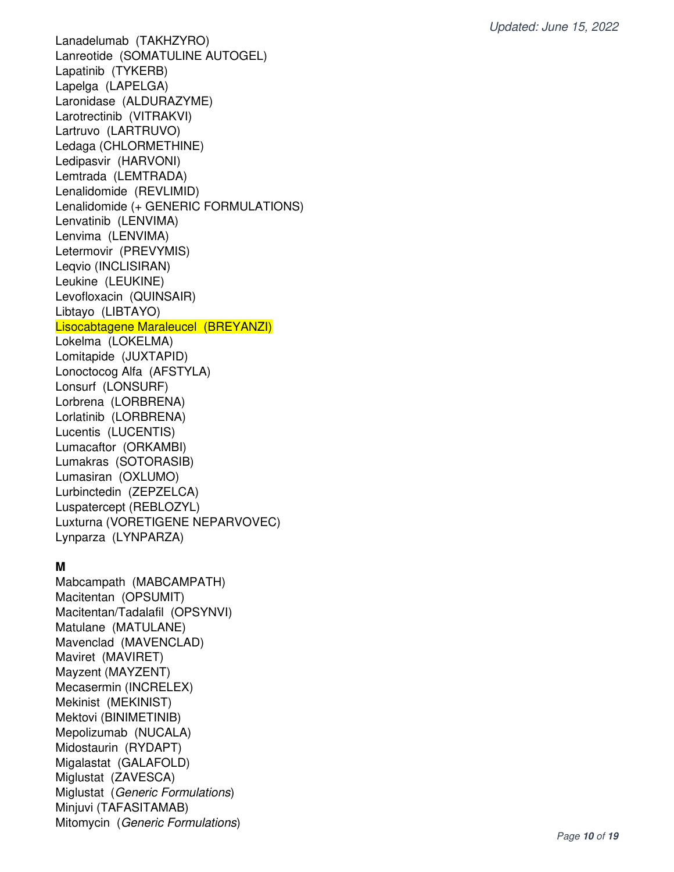Lanadelumab (TAKHZYRO) Lanreotide (SOMATULINE AUTOGEL) Lapatinib (TYKERB) Lapelga (LAPELGA) Laronidase (ALDURAZYME) Larotrectinib (VITRAKVI) Lartruvo (LARTRUVO) Ledaga (CHLORMETHINE) Ledipasvir (HARVONI) Lemtrada (LEMTRADA) Lenalidomide (REVLIMID) Lenalidomide (+ GENERIC FORMULATIONS) Lenvatinib (LENVIMA) Lenvima (LENVIMA) Letermovir (PREVYMIS) Leqvio (INCLISIRAN) Leukine (LEUKINE) Levofloxacin (QUINSAIR) Libtayo (LIBTAYO) Lisocabtagene Maraleucel (BREYANZI) Lokelma (LOKELMA) Lomitapide (JUXTAPID) Lonoctocog Alfa (AFSTYLA) Lonsurf (LONSURF) Lorbrena (LORBRENA) Lorlatinib (LORBRENA) Lucentis (LUCENTIS) Lumacaftor (ORKAMBI) Lumakras (SOTORASIB) Lumasiran (OXLUMO) Lurbinctedin (ZEPZELCA) Luspatercept (REBLOZYL) Luxturna (VORETIGENE NEPARVOVEC) Lynparza (LYNPARZA)

#### **M**

Mabcampath (MABCAMPATH) Macitentan (OPSUMIT) Macitentan/Tadalafil (OPSYNVI) Matulane (MATULANE) Mavenclad (MAVENCLAD) Maviret (MAVIRET) Mayzent (MAYZENT) Mecasermin (INCRELEX) Mekinist (MEKINIST) Mektovi (BINIMETINIB) Mepolizumab (NUCALA) Midostaurin (RYDAPT) Migalastat (GALAFOLD) Miglustat (ZAVESCA) Miglustat (Generic Formulations) Minjuvi (TAFASITAMAB) Mitomycin (Generic Formulations)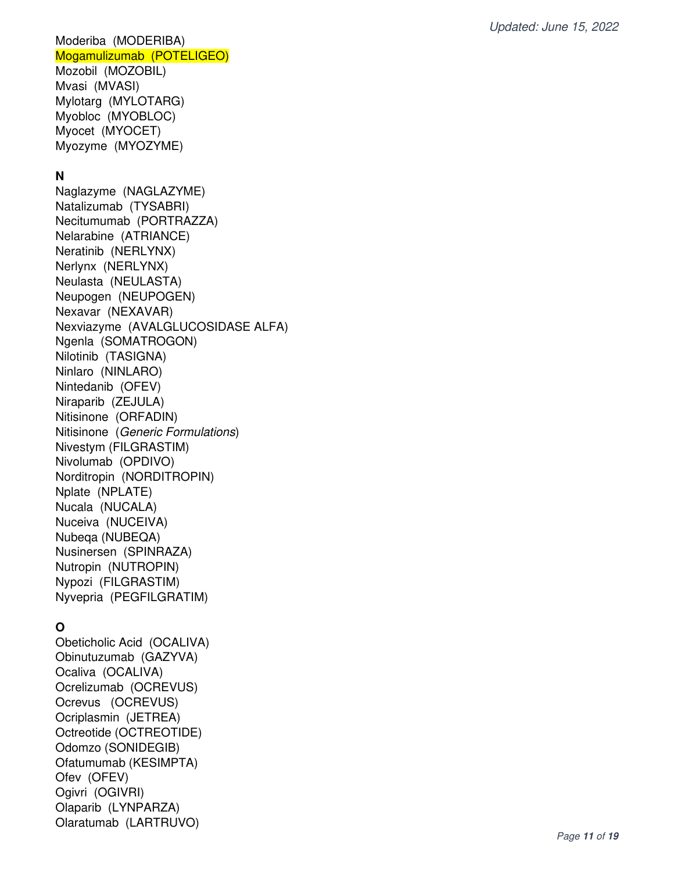#### Moderiba (MODERIBA) Mogamulizumab (POTELIGEO)

Mozobil (MOZOBIL) Mvasi (MVASI) Mylotarg (MYLOTARG) Myobloc (MYOBLOC) Myocet (MYOCET) Myozyme (MYOZYME)

## **N**

Naglazyme (NAGLAZYME) Natalizumab (TYSABRI) Necitumumab (PORTRAZZA) Nelarabine (ATRIANCE) Neratinib (NERLYNX) Nerlynx (NERLYNX) Neulasta (NEULASTA) Neupogen (NEUPOGEN) Nexavar (NEXAVAR) Nexviazyme (AVALGLUCOSIDASE ALFA) Ngenla (SOMATROGON) Nilotinib (TASIGNA) Ninlaro (NINLARO) Nintedanib (OFEV) Niraparib (ZEJULA) Nitisinone (ORFADIN) Nitisinone (Generic Formulations) Nivestym (FILGRASTIM) Nivolumab (OPDIVO) Norditropin (NORDITROPIN) Nplate (NPLATE) Nucala (NUCALA) Nuceiva (NUCEIVA) Nubeqa (NUBEQA) Nusinersen (SPINRAZA) Nutropin (NUTROPIN) Nypozi (FILGRASTIM) Nyvepria (PEGFILGRATIM)

# **O**

Obeticholic Acid (OCALIVA) Obinutuzumab (GAZYVA) Ocaliva (OCALIVA) Ocrelizumab (OCREVUS) Ocrevus (OCREVUS) Ocriplasmin (JETREA) Octreotide (OCTREOTIDE) Odomzo (SONIDEGIB) Ofatumumab (KESIMPTA) Ofev (OFEV) Ogivri (OGIVRI) Olaparib (LYNPARZA) Olaratumab (LARTRUVO)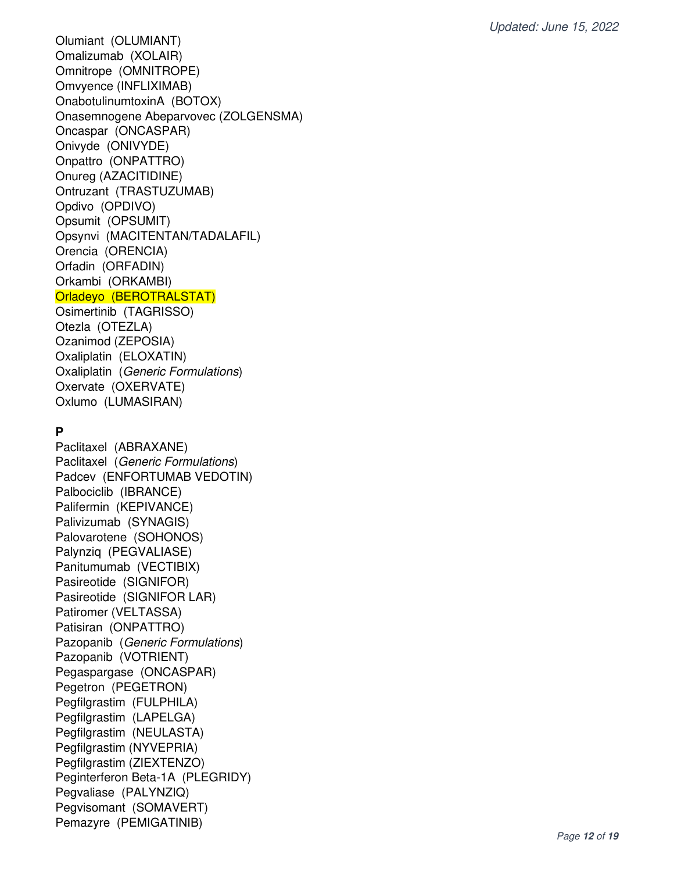Olumiant (OLUMIANT) Omalizumab (XOLAIR) Omnitrope (OMNITROPE) Omvyence (INFLIXIMAB) OnabotulinumtoxinA (BOTOX) Onasemnogene Abeparvovec (ZOLGENSMA) Oncaspar (ONCASPAR) Onivyde (ONIVYDE) Onpattro (ONPATTRO) Onureg (AZACITIDINE) Ontruzant (TRASTUZUMAB) Opdivo (OPDIVO) Opsumit (OPSUMIT) Opsynvi (MACITENTAN/TADALAFIL) Orencia (ORENCIA) Orfadin (ORFADIN) Orkambi (ORKAMBI) Orladeyo (BEROTRALSTAT) Osimertinib (TAGRISSO)

Otezla (OTEZLA) Ozanimod (ZEPOSIA) Oxaliplatin (ELOXATIN) Oxaliplatin (Generic Formulations) Oxervate (OXERVATE) Oxlumo (LUMASIRAN)

### **P**

Paclitaxel (ABRAXANE) Paclitaxel (Generic Formulations) Padcev (ENFORTUMAB VEDOTIN) Palbociclib (IBRANCE) Palifermin (KEPIVANCE) Palivizumab (SYNAGIS) Palovarotene (SOHONOS) Palynziq (PEGVALIASE) Panitumumab (VECTIBIX) Pasireotide (SIGNIFOR) Pasireotide (SIGNIFOR LAR) Patiromer (VELTASSA) Patisiran (ONPATTRO) Pazopanib (Generic Formulations) Pazopanib (VOTRIENT) Pegaspargase (ONCASPAR) Pegetron (PEGETRON) Pegfilgrastim (FULPHILA) Pegfilgrastim (LAPELGA) Pegfilgrastim (NEULASTA) Pegfilgrastim (NYVEPRIA) Pegfilgrastim (ZIEXTENZO) Peginterferon Beta-1A (PLEGRIDY) Pegvaliase (PALYNZIQ) Pegvisomant (SOMAVERT) Pemazyre (PEMIGATINIB)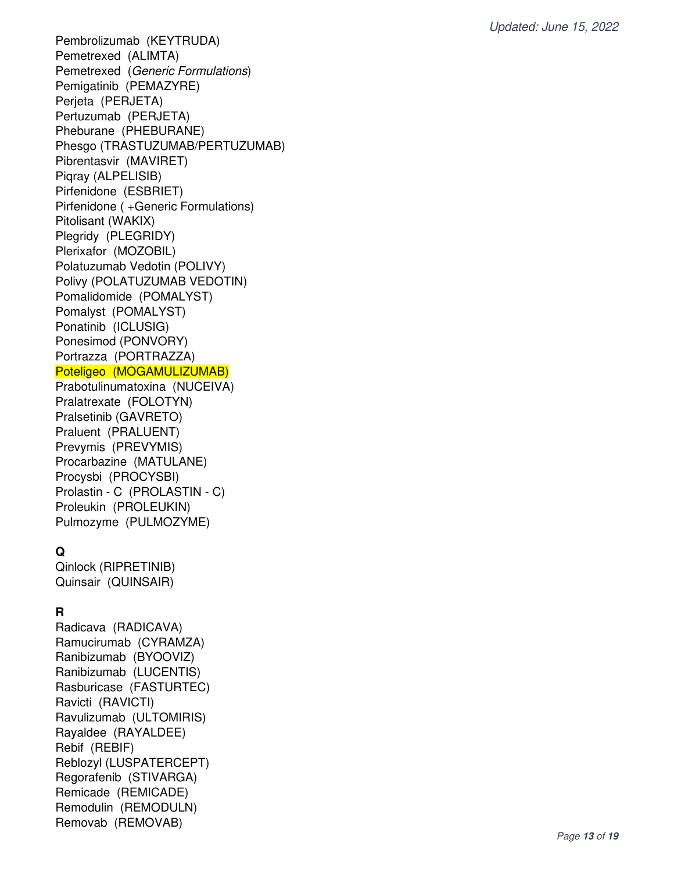Pembrolizumab (KEYTRUDA) Pemetrexed (ALIMTA) Pemetrexed (Generic Formulations) Pemigatinib (PEMAZYRE) Perjeta (PERJETA) Pertuzumab (PERJETA) Pheburane (PHEBURANE) Phesgo (TRASTUZUMAB/PERTUZUMAB) Pibrentasvir (MAVIRET) Piqray (ALPELISIB) Pirfenidone (ESBRIET) Pirfenidone ( +Generic Formulations) Pitolisant (WAKIX) Plegridy (PLEGRIDY) Plerixafor (MOZOBIL) Polatuzumab Vedotin (POLIVY) Polivy (POLATUZUMAB VEDOTIN) Pomalidomide (POMALYST) Pomalyst (POMALYST) Ponatinib (ICLUSIG) Ponesimod (PONVORY) Portrazza (PORTRAZZA) Poteligeo (MOGAMULIZUMAB) Prabotulinumatoxina (NUCEIVA) Pralatrexate (FOLOTYN) Pralsetinib (GAVRETO) Praluent (PRALUENT) Prevymis (PREVYMIS) Procarbazine (MATULANE)

### Procysbi (PROCYSBI) Prolastin - C (PROLASTIN - C) Proleukin (PROLEUKIN) Pulmozyme (PULMOZYME)

### **Q**

Qinlock (RIPRETINIB) Quinsair (QUINSAIR)

# **R**

Radicava (RADICAVA) Ramucirumab (CYRAMZA) Ranibizumab (BYOOVIZ) Ranibizumab (LUCENTIS) Rasburicase (FASTURTEC) Ravicti (RAVICTI) Ravulizumab (ULTOMIRIS) Rayaldee (RAYALDEE) Rebif (REBIF) Reblozyl (LUSPATERCEPT) Regorafenib (STIVARGA) Remicade (REMICADE) Remodulin (REMODULN) Removab (REMOVAB)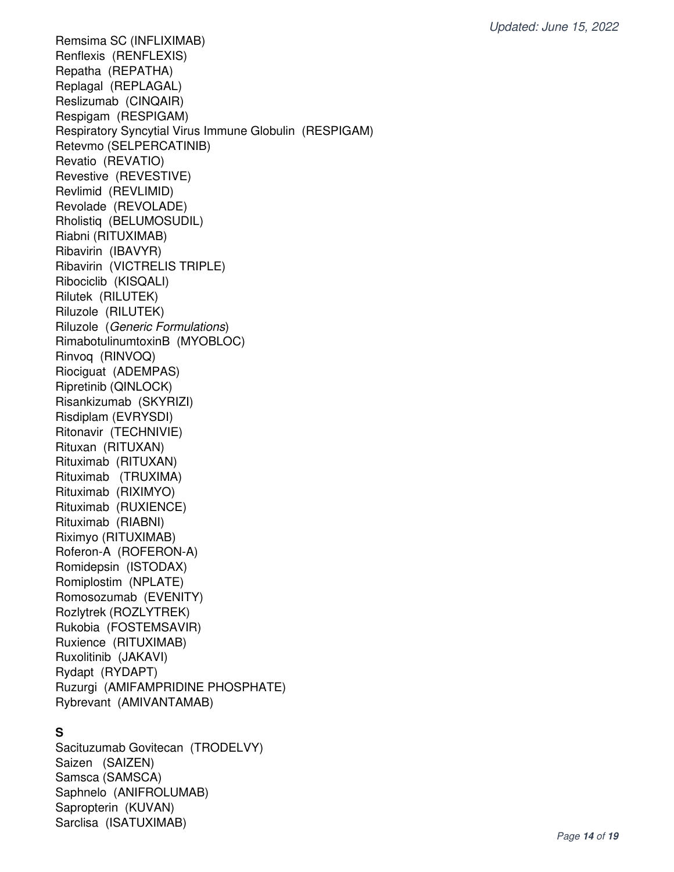Remsima SC (INFLIXIMAB) Renflexis (RENFLEXIS) Repatha (REPATHA) Replagal (REPLAGAL) Reslizumab (CINQAIR) Respigam (RESPIGAM) Respiratory Syncytial Virus Immune Globulin (RESPIGAM) Retevmo (SELPERCATINIB) Revatio (REVATIO) Revestive (REVESTIVE) Revlimid (REVLIMID) Revolade (REVOLADE) Rholistiq (BELUMOSUDIL) Riabni (RITUXIMAB) Ribavirin (IBAVYR) Ribavirin (VICTRELIS TRIPLE) Ribociclib (KISQALI) Rilutek (RILUTEK) Riluzole (RILUTEK) Riluzole (Generic Formulations) RimabotulinumtoxinB (MYOBLOC) Rinvoq (RINVOQ) Riociguat (ADEMPAS) Ripretinib (QINLOCK) Risankizumab (SKYRIZI) Risdiplam (EVRYSDI) Ritonavir (TECHNIVIE) Rituxan (RITUXAN) Rituximab (RITUXAN) Rituximab (TRUXIMA) Rituximab (RIXIMYO) Rituximab (RUXIENCE) Rituximab (RIABNI) Riximyo (RITUXIMAB) Roferon-A (ROFERON-A) Romidepsin (ISTODAX) Romiplostim (NPLATE) Romosozumab (EVENITY) Rozlytrek (ROZLYTREK) Rukobia (FOSTEMSAVIR) Ruxience (RITUXIMAB) Ruxolitinib (JAKAVI) Rydapt (RYDAPT) Ruzurgi (AMIFAMPRIDINE PHOSPHATE) Rybrevant (AMIVANTAMAB)

#### **S**

Sacituzumab Govitecan (TRODELVY) Saizen (SAIZEN) Samsca (SAMSCA) Saphnelo (ANIFROLUMAB) Sapropterin (KUVAN) Sarclisa (ISATUXIMAB)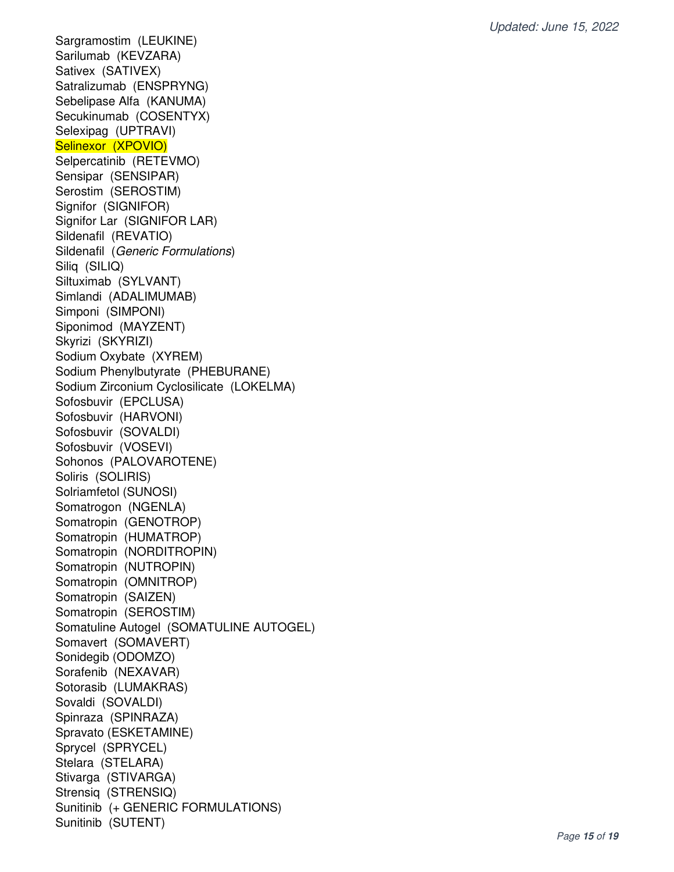Sargramostim (LEUKINE) Sarilumab (KEVZARA) Sativex (SATIVEX) Satralizumab (ENSPRYNG) Sebelipase Alfa (KANUMA) Secukinumab (COSENTYX) Selexipag (UPTRAVI) Selinexor (XPOVIO) Selpercatinib (RETEVMO) Sensipar (SENSIPAR) Serostim (SEROSTIM) Signifor (SIGNIFOR) Signifor Lar (SIGNIFOR LAR) Sildenafil (REVATIO) Sildenafil (Generic Formulations) Siliq (SILIQ) Siltuximab (SYLVANT) Simlandi (ADALIMUMAB) Simponi (SIMPONI) Siponimod (MAYZENT) Skyrizi (SKYRIZI) Sodium Oxybate (XYREM) Sodium Phenylbutyrate (PHEBURANE) Sodium Zirconium Cyclosilicate (LOKELMA) Sofosbuvir (EPCLUSA) Sofosbuvir (HARVONI) Sofosbuvir (SOVALDI) Sofosbuvir (VOSEVI) Sohonos (PALOVAROTENE) Soliris (SOLIRIS) Solriamfetol (SUNOSI) Somatrogon (NGENLA) Somatropin (GENOTROP) Somatropin (HUMATROP) Somatropin (NORDITROPIN) Somatropin (NUTROPIN) Somatropin (OMNITROP) Somatropin (SAIZEN) Somatropin (SEROSTIM) Somatuline Autogel (SOMATULINE AUTOGEL) Somavert (SOMAVERT) Sonidegib (ODOMZO) Sorafenib (NEXAVAR) Sotorasib (LUMAKRAS) Sovaldi (SOVALDI) Spinraza (SPINRAZA) Spravato (ESKETAMINE) Sprycel (SPRYCEL) Stelara (STELARA) Stivarga (STIVARGA) Strensiq (STRENSIQ) Sunitinib (+ GENERIC FORMULATIONS) Sunitinib (SUTENT)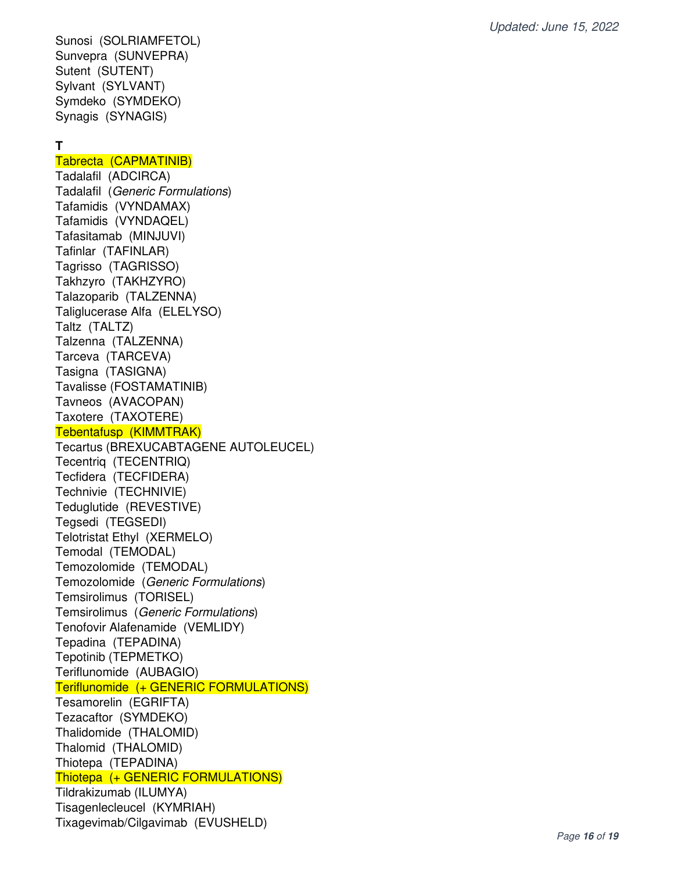Sunosi (SOLRIAMFETOL) Sunvepra (SUNVEPRA) Sutent (SUTENT) Sylvant (SYLVANT) Symdeko (SYMDEKO) Synagis (SYNAGIS)

### **T**

#### Tabrecta (CAPMATINIB)

Tadalafil (ADCIRCA) Tadalafil (Generic Formulations) Tafamidis (VYNDAMAX) Tafamidis (VYNDAQEL) Tafasitamab (MINJUVI) Tafinlar (TAFINLAR) Tagrisso (TAGRISSO) Takhzyro (TAKHZYRO) Talazoparib (TALZENNA) Taliglucerase Alfa (ELELYSO) Taltz (TALTZ) Talzenna (TALZENNA) Tarceva (TARCEVA) Tasigna (TASIGNA) Tavalisse (FOSTAMATINIB) Tavneos (AVACOPAN) Taxotere (TAXOTERE) Tebentafusp (KIMMTRAK) Tecartus (BREXUCABTAGENE AUTOLEUCEL) Tecentriq (TECENTRIQ) Tecfidera (TECFIDERA) Technivie (TECHNIVIE) Teduglutide (REVESTIVE) Tegsedi (TEGSEDI) Telotristat Ethyl (XERMELO) Temodal (TEMODAL) Temozolomide (TEMODAL) Temozolomide (Generic Formulations) Temsirolimus (TORISEL) Temsirolimus (Generic Formulations) Tenofovir Alafenamide (VEMLIDY) Tepadina (TEPADINA) Tepotinib (TEPMETKO) Teriflunomide (AUBAGIO) Teriflunomide (+ GENERIC FORMULATIONS) Tesamorelin (EGRIFTA) Tezacaftor (SYMDEKO) Thalidomide (THALOMID) Thalomid (THALOMID) Thiotepa (TEPADINA) Thiotepa (+ GENERIC FORMULATIONS) Tildrakizumab (ILUMYA) Tisagenlecleucel (KYMRIAH) Tixagevimab/Cilgavimab (EVUSHELD)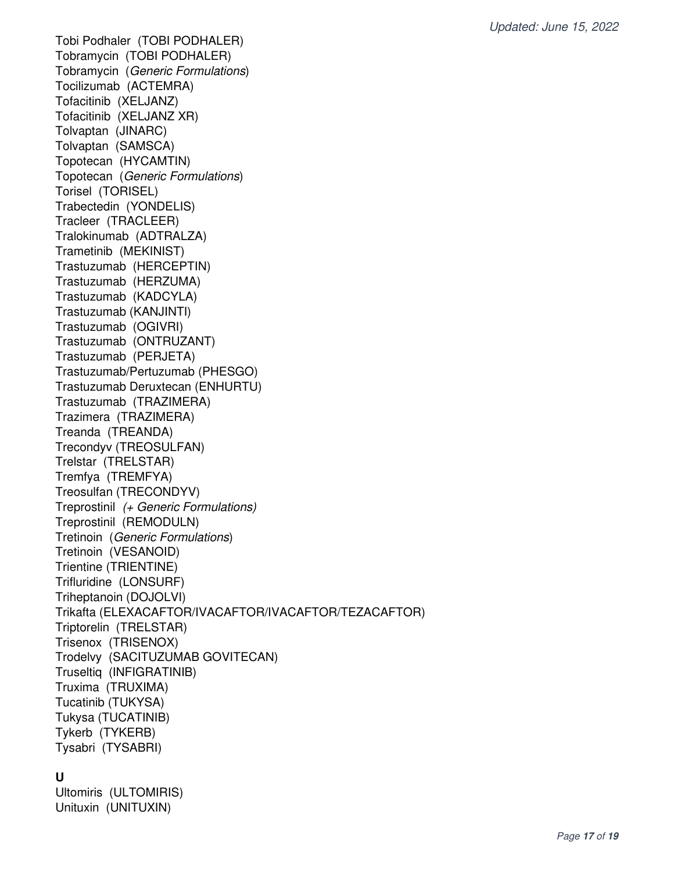Tobi Podhaler (TOBI PODHALER) Tobramycin (TOBI PODHALER) Tobramycin (Generic Formulations) Tocilizumab (ACTEMRA) Tofacitinib (XELJANZ) Tofacitinib (XELJANZ XR) Tolvaptan (JINARC) Tolvaptan (SAMSCA) Topotecan (HYCAMTIN) Topotecan (Generic Formulations) Torisel (TORISEL) Trabectedin (YONDELIS) Tracleer (TRACLEER) Tralokinumab (ADTRALZA) Trametinib (MEKINIST) Trastuzumab (HERCEPTIN) Trastuzumab (HERZUMA) Trastuzumab (KADCYLA) Trastuzumab (KANJINTI) Trastuzumab (OGIVRI) Trastuzumab (ONTRUZANT) Trastuzumab (PERJETA) Trastuzumab/Pertuzumab (PHESGO) Trastuzumab Deruxtecan (ENHURTU) Trastuzumab (TRAZIMERA) Trazimera (TRAZIMERA) Treanda (TREANDA) Trecondyv (TREOSULFAN) Trelstar (TRELSTAR) Tremfya (TREMFYA) Treosulfan (TRECONDYV) Treprostinil (+ Generic Formulations) Treprostinil (REMODULN) Tretinoin (Generic Formulations) Tretinoin (VESANOID) Trientine (TRIENTINE) Trifluridine (LONSURF) Triheptanoin (DOJOLVI) Trikafta (ELEXACAFTOR/IVACAFTOR/IVACAFTOR/TEZACAFTOR) Triptorelin (TRELSTAR) Trisenox (TRISENOX) Trodelvy (SACITUZUMAB GOVITECAN) Truseltiq (INFIGRATINIB) Truxima (TRUXIMA) Tucatinib (TUKYSA) Tukysa (TUCATINIB) Tykerb (TYKERB) Tysabri (TYSABRI)

#### **U**

Ultomiris (ULTOMIRIS) Unituxin (UNITUXIN)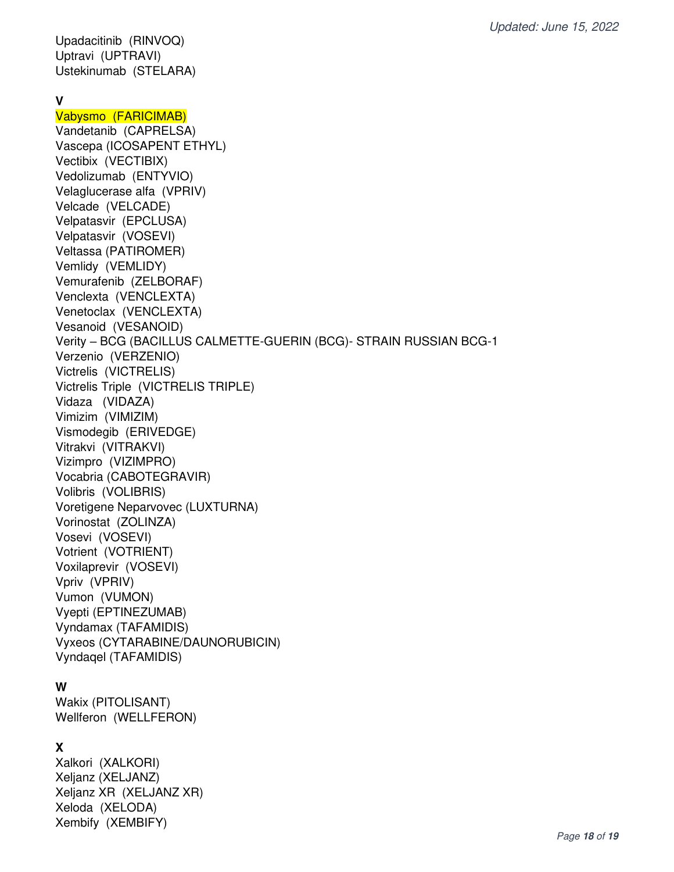Upadacitinib (RINVOQ) Uptravi (UPTRAVI) Ustekinumab (STELARA)

#### **V**

Vabysmo (FARICIMAB) Vandetanib (CAPRELSA) Vascepa (ICOSAPENT ETHYL) Vectibix (VECTIBIX) Vedolizumab (ENTYVIO) Velaglucerase alfa (VPRIV) Velcade (VELCADE) Velpatasvir (EPCLUSA) Velpatasvir (VOSEVI) Veltassa (PATIROMER) Vemlidy (VEMLIDY) Vemurafenib (ZELBORAF) Venclexta (VENCLEXTA) Venetoclax (VENCLEXTA) Vesanoid (VESANOID) Verity – BCG (BACILLUS CALMETTE-GUERIN (BCG)- STRAIN RUSSIAN BCG-1 Verzenio (VERZENIO) Victrelis (VICTRELIS) Victrelis Triple (VICTRELIS TRIPLE) Vidaza (VIDAZA) Vimizim (VIMIZIM) Vismodegib (ERIVEDGE) Vitrakvi (VITRAKVI) Vizimpro (VIZIMPRO) Vocabria (CABOTEGRAVIR) Volibris (VOLIBRIS) Voretigene Neparvovec (LUXTURNA) Vorinostat (ZOLINZA) Vosevi (VOSEVI) Votrient (VOTRIENT) Voxilaprevir (VOSEVI) Vpriv (VPRIV) Vumon (VUMON) Vyepti (EPTINEZUMAB) Vyndamax (TAFAMIDIS) Vyxeos (CYTARABINE/DAUNORUBICIN) Vyndaqel (TAFAMIDIS)

#### **W**

Wakix (PITOLISANT) Wellferon (WELLFERON)

### **X**

Xalkori (XALKORI) Xeljanz (XELJANZ) Xeljanz XR (XELJANZ XR) Xeloda (XELODA) Xembify (XEMBIFY)